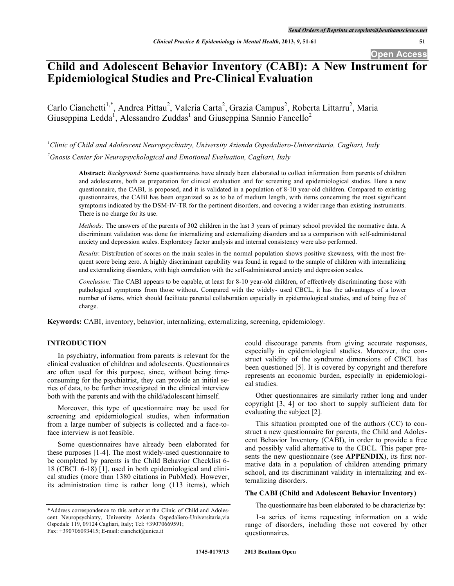# **Child and Adolescent Behavior Inventory (CABI): A New Instrument for Epidemiological Studies and Pre-Clinical Evaluation**

Carlo Cianchetti<sup>1,\*</sup>, Andrea Pittau<sup>2</sup>, Valeria Carta<sup>2</sup>, Grazia Campus<sup>2</sup>, Roberta Littarru<sup>2</sup>, Maria Giuseppina Ledda<sup>1</sup>, Alessandro Zuddas<sup>1</sup> and Giuseppina Sannio Fancello<sup>2</sup>

*1 Clinic of Child and Adolescent Neuropsychiatry, University Azienda Ospedaliero-Universitaria, Cagliari, Italy 2 Gnosis Center for Neuropsychological and Emotional Evaluation, Cagliari, Italy*

**Abstract:** *Background:* Some questionnaires have already been elaborated to collect information from parents of children and adolescents, both as preparation for clinical evaluation and for screening and epidemiological studies. Here a new questionnaire, the CABI, is proposed, and it is validated in a population of 8-10 year-old children. Compared to existing questionnaires, the CABI has been organized so as to be of medium length, with items concerning the most significant symptoms indicated by the DSM-IV-TR for the pertinent disorders, and covering a wider range than existing instruments. There is no charge for its use.

*Methods:* The answers of the parents of 302 children in the last 3 years of primary school provided the normative data. A discriminant validation was done for internalizing and externalizing disorders and as a comparison with self-administered anxiety and depression scales. Exploratory factor analysis and internal consistency were also performed.

*Results*: Distribution of scores on the main scales in the normal population shows positive skewness, with the most frequent score being zero. A highly discriminant capability was found in regard to the sample of children with internalizing and externalizing disorders, with high correlation with the self-administered anxiety and depression scales.

*Conclusion:* The CABI appears to be capable, at least for 8-10 year-old children, of effectively discriminating those with pathological symptoms from those without. Compared with the widely- used CBCL, it has the advantages of a lower number of items, which should facilitate parental collaboration especially in epidemiological studies, and of being free of charge.

**Keywords:** CABI, inventory, behavior, internalizing, externalizing, screening, epidemiology.

# **INTRODUCTION**

In psychiatry, information from parents is relevant for the clinical evaluation of children and adolescents. Questionnaires are often used for this purpose, since, without being timeconsuming for the psychiatrist, they can provide an initial series of data, to be further investigated in the clinical interview both with the parents and with the child/adolescent himself.

Moreover, this type of questionnaire may be used for screening and epidemiological studies, when information from a large number of subjects is collected and a face-toface interview is not feasible.

Some questionnaires have already been elaborated for these purposes [1-4]. The most widely-used questionnaire to be completed by parents is the Child Behavior Checklist 6- 18 (CBCL 6-18) [1], used in both epidemiological and clinical studies (more than 1380 citations in PubMed). However, its administration time is rather long (113 items), which could discourage parents from giving accurate responses, especially in epidemiological studies. Moreover, the construct validity of the syndrome dimensions of CBCL has been questioned [5]. It is covered by copyright and therefore represents an economic burden, especially in epidemiological studies.

Other questionnaires are similarly rather long and under copyright [3, 4] or too short to supply sufficient data for evaluating the subject [2].

This situation prompted one of the authors (CC) to construct a new questionnaire for parents, the Child and Adolescent Behavior Inventory (CABI), in order to provide a free and possibly valid alternative to the CBCL. This paper presents the new questionnaire (see **APPENDIX**), its first normative data in a population of children attending primary school, and its discriminant validity in internalizing and externalizing disorders.

# **The CABI (Child and Adolescent Behavior Inventory)**

The questionnaire has been elaborated to be characterize by:

<sup>\*</sup>Address correspondence to this author at the Clinic of Child and Adolescent Neuropsychiatry, University Azienda Ospedaliero-Universitaria,via Ospedale 119, 09124 Cagliari, Italy; Tel: +39070669591; Fax: +390706093415; E-mail: cianchet@unica.it

<sup>1-</sup>a series of items requesting information on a wide range of disorders, including those not covered by other questionnaires.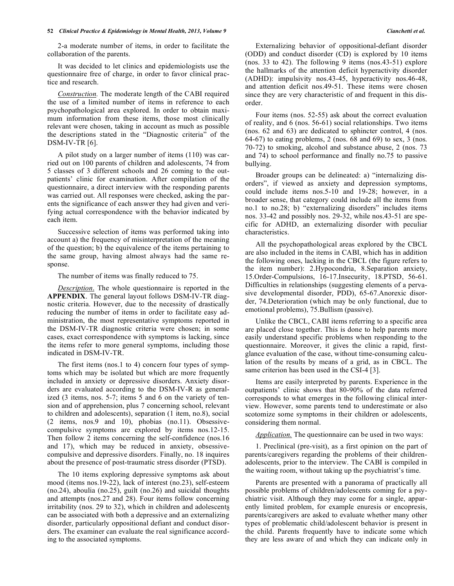#### **52** *Clinical Practice & Epidemiology in Mental Health, 2013, Volume 9 Cianchetti et al.*

2-a moderate number of items, in order to facilitate the collaboration of the parents.

It was decided to let clinics and epidemiologists use the questionnaire free of charge, in order to favor clinical practice and research.

*Construction.* The moderate length of the CABI required the use of a limited number of items in reference to each psychopathological area explored. In order to obtain maximum information from these items, those most clinically relevant were chosen, taking in account as much as possible the descriptions stated in the "Diagnostic criteria" of the DSM-IV-TR [6].

A pilot study on a larger number of items (110) was carried out on 100 parents of children and adolescents, 74 from 5 classes of 3 different schools and 26 coming to the outpatients' clinic for examination. After compilation of the questionnaire, a direct interview with the responding parents was carried out. All responses were checked, asking the parents the significance of each answer they had given and verifying actual correspondence with the behavior indicated by each item.

Successive selection of items was performed taking into account a) the frequency of misinterpretation of the meaning of the question; b) the equivalence of the items pertaining to the same group, having almost always had the same response.

The number of items was finally reduced to 75.

*Description*. The whole questionnaire is reported in the **APPENDIX**. The general layout follows DSM-IV-TR diagnostic criteria. However, due to the necessity of drastically reducing the number of items in order to facilitate easy administration, the most representative symptoms reported in the DSM-IV-TR diagnostic criteria were chosen; in some cases, exact correspondence with symptoms is lacking, since the items refer to more general symptoms, including those indicated in DSM-IV-TR.

The first items (nos.1 to 4) concern four types of symptoms which may be isolated but which are more frequently included in anxiety or depressive disorders. Anxiety disorders are evaluated according to the DSM-IV-R as generalized (3 items, nos. 5-7; items 5 and 6 on the variety of tension and of apprehension, plus 7 concerning school, relevant to children and adolescents), separation (1 item, no.8), social (2 items, nos.9 and 10), phobias (no.11). Obsessivecompulsive symptoms are explored by items nos.12-15. Then follow 2 items concerning the self-confidence (nos.16 and 17), which may be reduced in anxiety, obsessivecompulsive and depressive disorders. Finally, no. 18 inquires about the presence of post-traumatic stress disorder (PTSD).

The 10 items exploring depressive symptoms ask about mood (items nos.19-22), lack of interest (no.23), self-esteem (no.24), aboulia (no.25), guilt (no.26) and suicidal thoughts and attempts (nos.27 and 28). Four items follow concerning irritability (nos. 29 to 32), which in children and adolescents can be associated with both a depressive and an externalizing disorder, particularly oppositional defiant and conduct disorders. The examiner can evaluate the real significance according to the associated symptoms.

Externalizing behavior of oppositional-defiant disorder (ODD) and conduct disorder (CD) is explored by 10 items (nos. 33 to 42). The following 9 items (nos.43-51) explore the hallmarks of the attention deficit hyperactivity disorder (ADHD): impulsivity nos.43-45, hyperactivity nos.46-48, and attention deficit nos.49-51. These items were chosen since they are very characteristic of and frequent in this disorder.

Four items (nos. 52-55) ask about the correct evaluation of reality, and 6 (nos. 56-61) social relationships. Two items (nos. 62 and 63) are dedicated to sphincter control, 4 (nos. 64-67) to eating problems, 2 (nos. 68 and 69) to sex, 3 (nos. 70-72) to smoking, alcohol and substance abuse, 2 (nos. 73 and 74) to school performance and finally no.75 to passive bullying.

Broader groups can be delineated: a) "internalizing disorders", if viewed as anxiety and depression symptoms, could include items nos.5-10 and 19-28; however, in a broader sense, that category could include all the items from no.1 to no.28; b) "externalizing disorders" includes items nos. 33-42 and possibly nos. 29-32, while nos.43-51 are specific for ADHD, an externalizing disorder with peculiar characteristics.

All the psychopathological areas explored by the CBCL are also included in the items in CABI, which has in addition the following ones, lacking in the CBCL (the figure refers to the item number): 2.Hypocondria, 8.Separation anxiety, 15.Order-Compulsions, 16-17.Insecurity, 18.PTSD, 56-61. Difficulties in relationships (suggesting elements of a pervasive developmental disorder, PDD), 65-67.Anorexic disorder, 74.Deterioration (which may be only functional, due to emotional problems), 75.Bullism (passive).

Unlike the CBCL, CABI items referring to a specific area are placed close together. This is done to help parents more easily understand specific problems when responding to the questionnaire. Moreover, it gives the clinic a rapid, firstglance evaluation of the case, without time-consuming calculation of the results by means of a grid, as in CBCL. The same criterion has been used in the CSI-4 [3].

Items are easily interpreted by parents. Experience in the outpatients' clinic shows that 80-90% of the data referred corresponds to what emerges in the following clinical interview. However, some parents tend to underestimate or also scotomize some symptoms in their children or adolescents, considering them normal.

*Application.* The questionnaire can be used in two ways:

1. Preclinical (pre-visit), as a first opinion on the part of parents/caregivers regarding the problems of their childrenadolescents, prior to the interview. The CABI is compiled in the waiting room, without taking up the psychiatrist's time.

Parents are presented with a panorama of practically all possible problems of children/adolescents coming for a psychiatric visit. Although they may come for a single, apparently limited problem, for example enuresis or encopresis, parents/caregivers are asked to evaluate whether many other types of problematic child/adolescent behavior is present in the child. Parents frequently have to indicate some which they are less aware of and which they can indicate only in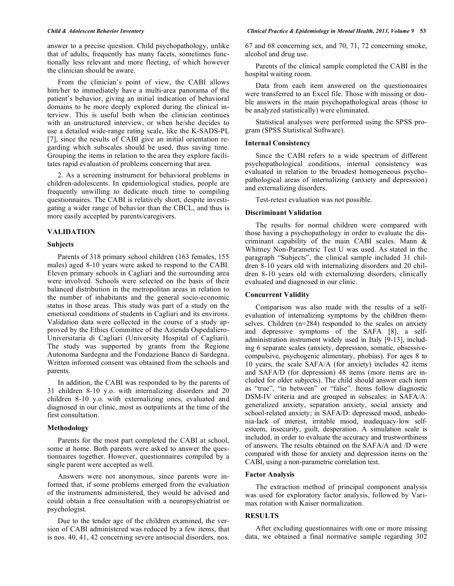answer to a precise question. Child psychopathology, unlike that of adults, frequently has many facets, sometimes functionally less relevant and more fleeting, of which however the clinician should be aware.

From the clinician's point of view, the CABI allows him/her to immediately have a multi-area panorama of the patient's behavior, giving an initial indication of behavioral domains to be more deeply explored during the clinical interview. This is useful both when the clinician continues with an unstructured interview, or when he/she decides to use a detailed wide-range rating scale, like the K-SADS-PL [7], since the results of CABI give an initial orientation regarding which subscales should be used, thus saving time. Grouping the items in relation to the area they explore facilitates rapid evaluation of problems concerning that area.

2. As a screening instrument for behavioral problems in children-adolescents. In epidemiological studies, people are frequently unwilling to dedicate much time to compiling questionnaires. The CABI is relatively short, despite investigating a wider range of behavior than the CBCL, and thus is more easily accepted by parents/caregivers.

# **VALIDATION**

# **Subjects**

Parents of 318 primary school children (163 females, 155 males) aged 8-10 years were asked to respond to the CABI. Eleven primary schools in Cagliari and the surrounding area were involved. Schools were selected on the basis of their balanced distribution in the metropolitan areas in relation to the number of inhabitants and the general socio-economic status in those areas. This study was part of a study on the emotional conditions of students in Cagliari and its environs. Validation data were collected in the course of a study approved by the Ethics Committee of the Azienda Ospedaliero-Universitaria di Cagliari (University Hospital of Cagliari). The study was supported by grants from the Regione Autonoma Sardegna and the Fondazione Banco di Sardegna. Written informed consent was obtained from the schools and parents.

In addition, the CABI was responded to by the parents of 31 children 8-10 y.o. with internalizing disorders and 20 children 8-10 y.o. with externalizing ones, evaluated and diagnosed in our clinic, most as outpatients at the time of the first consultation.

# **Methodology**

Parents for the most part completed the CABI at school, some at home. Both parents were asked to answer the questionnaires together. However, questionnaires compiled by a single parent were accepted as well.

Answers were not anonymous, since parents were informed that, if some problems emerged from the evaluation of the instruments administered, they would be advised and could obtain a free consultation with a neuropsychiatrist or psychologist.

Due to the tender age of the children examined, the version of CABI administered was reduced by a few items, that is nos. 40, 41, 42 concerning severe antisocial disorders, nos. 67 and 68 concerning sex, and 70, 71, 72 concerning smoke, alcohol and drug use.

Parents of the clinical sample completed the CABI in the hospital waiting room.

Data from each item answered on the questionnaires were transferred to an Excel file. Those with missing or double answers in the main psychopathological areas (those to be analyzed statistically) were eliminated.

Statistical analyses were performed using the SPSS program (SPSS Statistical Software).

# **Internal Consistency**

Since the CABI refers to a wide spectrum of different psychopathological conditions, internal consistency was evaluated in relation to the broadest homogeneous psychopathological areas of internalizing (anxiety and depression) and externalizing disorders.

Test-retest evaluation was not possible.

# **Discriminant Validation**

The results for normal children were compared with those having a psychopathology in order to evaluate the discriminant capability of the main CABI scales. Mann & Whitney Non-Parametric Test U was used. As stated in the paragraph "Subjects", the clinical sample included 31 children 8-10 years old with internalizing disorders and 20 children 8-10 years old with externalizing disorders, clinically evaluated and diagnosed in our clinic.

#### **Concurrent Validity**

Comparison was also made with the results of a selfevaluation of internalizing symptoms by the children themselves. Children (n=284) responded to the scales on anxiety and depressive symptoms of the SAFA [8], a selfadministration instrument widely used in Italy [9-13], including 6 separate scales (anxiety, depression, somatic, obsessivecompulsive, psychogenic alimentary, phobias). For ages 8 to 10 years, the scale SAFA/A (for anxiety) includes 42 items and SAFA/D (for depression) 48 items (more items are included for older subjects). The child should answer each item as "true", "in between" or "false". Items follow diagnostic DSM-IV criteria and are grouped in subscales: in SAFA/A: generalized anxiety, separation anxiety, social anxiety and school-related anxiety; in SAFA/D: depressed mood, anhedonia-lack of interest, irritable mood, inadequacy-low selfesteem, insecurity, guilt, desperation. A simulation scale is included, in order to evaluate the accuracy and trustworthiness of answers. The results obtained on the SAFA/A and /D were compared with those for anxiety and depression items on the CABI, using a non-parametric correlation test.

#### **Factor Analysis**

The extraction method of principal component analysis was used for exploratory factor analysis, followed by Varimax rotation with Kaiser normalization.

# **RESULTS**

After excluding questionnaires with one or more missing data, we obtained a final normative sample regarding 302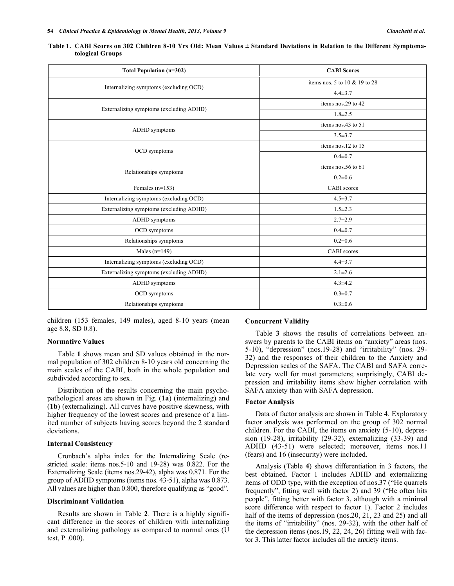| <b>Total Population (n=302)</b>         | <b>CABI Scores</b>            |
|-----------------------------------------|-------------------------------|
|                                         | items nos. 5 to 10 & 19 to 28 |
| Internalizing symptoms (excluding OCD)  | $4.4 \pm 3.7$                 |
|                                         | items nos.29 to 42            |
| Externalizing symptoms (excluding ADHD) | $1.8 \pm 2.5$                 |
|                                         | items nos.43 to 51            |
| ADHD symptoms                           | $3.5 \pm 3.7$                 |
|                                         | items nos.12 to 15            |
| OCD symptoms                            | $0.4 \pm 0.7$                 |
|                                         | items nos.56 to 61            |
| Relationships symptoms                  | $0.2 \pm 0.6$                 |
| Females $(n=153)$                       | <b>CABI</b> scores            |
| Internalizing symptoms (excluding OCD)  | $4.5 \pm 3.7$                 |
| Externalizing symptoms (excluding ADHD) | $1.5 \pm 2.3$                 |
| ADHD symptoms                           | $2.7 \pm 2.9$                 |
| OCD symptoms                            | $0.4 \pm 0.7$                 |
| Relationships symptoms                  | $0.2 \pm 0.6$                 |
| Males $(n=149)$                         | <b>CABI</b> scores            |
| Internalizing symptoms (excluding OCD)  | $4.4 \pm 3.7$                 |
| Externalizing symptoms (excluding ADHD) | $2.1 \pm 2.6$                 |
| ADHD symptoms                           | $4.3 \pm 4.2$                 |
| OCD symptoms                            | $0.3 \pm 0.7$                 |
| Relationships symptoms                  | $0.3 \pm 0.6$                 |

|                  |  |  | Table 1. CABI Scores on 302 Children 8-10 Yrs Old: Mean Values ± Standard Deviations in Relation to the Different Symptoma- |
|------------------|--|--|-----------------------------------------------------------------------------------------------------------------------------|
| tological Groups |  |  |                                                                                                                             |

children (153 females, 149 males), aged 8-10 years (mean age 8.8, SD 0.8).

# **Normative Values**

Table **1** shows mean and SD values obtained in the normal population of 302 children 8-10 years old concerning the main scales of the CABI, both in the whole population and subdivided according to sex.

Distribution of the results concerning the main psychopathological areas are shown in Fig. (**1a**) (internalizing) and (**1b**) (externalizing). All curves have positive skewness, with higher frequency of the lowest scores and presence of a limited number of subjects having scores beyond the 2 standard deviations.

# **Internal Consistency**

Cronbach's alpha index for the Internalizing Scale (restricted scale: items nos.5-10 and 19-28) was 0.822. For the Externalizing Scale (items nos.29-42), alpha was 0.871. For the group of ADHD symptoms (items nos. 43-51), alpha was 0.873. All values are higher than 0.800, therefore qualifying as "good".

#### **Discriminant Validation**

Results are shown in Table **2**. There is a highly significant difference in the scores of children with internalizing and externalizing pathology as compared to normal ones (U test, P .000).

### **Concurrent Validity**

Table **3** shows the results of correlations between answers by parents to the CABI items on "anxiety" areas (nos. 5-10), "depression" (nos.19-28) and "irritability" (nos. 29- 32) and the responses of their children to the Anxiety and Depression scales of the SAFA. The CABI and SAFA correlate very well for most parameters; surprisingly, CABI depression and irritability items show higher correlation with SAFA anxiety than with SAFA depression.

#### **Factor Analysis**

Data of factor analysis are shown in Table **4**. Exploratory factor analysis was performed on the group of 302 normal children. For the CABI, the items on anxiety (5-10), depression (19-28), irritability (29-32), externalizing (33-39) and ADHD (43-51) were selected; moreover, items nos.11 (fears) and 16 (insecurity) were included.

Analysis (Table **4**) shows differentiation in 3 factors, the best obtained. Factor 1 includes ADHD and externalizing items of ODD type, with the exception of nos.37 ("He quarrels frequently", fitting well with factor 2) and 39 ("He often hits people", fitting better with factor 3, although with a minimal score difference with respect to factor 1). Factor 2 includes half of the items of depression (nos. 20, 21, 23 and 25) and all the items of "irritability" (nos. 29-32), with the other half of the depression items (nos.19, 22, 24, 26) fitting well with factor 3. This latter factor includes all the anxiety items.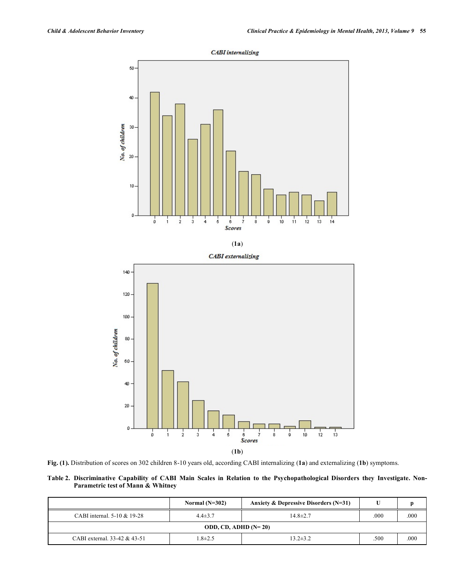$\frac{1}{13}$ 

 $\frac{1}{12}$ 

 $\frac{1}{10}$ 



**CABI** internalizing



 $\frac{1}{4}$ 

 $\frac{1}{3}$ 

 $\dot{2}$  $\mathbf{i}$ 

o

 $\frac{1}{0}$ 

**Table 2. Discriminative Capability of CABI Main Scales in Relation to the Psychopathological Disorders they Investigate. Non-Parametric test of Mann & Whitney**

(**1b**)

 $rac{6}{Scores}$ 

 $\frac{1}{5}$ 

|                              | Normal $(N=302)$       | Anxiety & Depressive Disorders $(N=31)$ |      | D    |  |  |  |  |  |  |
|------------------------------|------------------------|-----------------------------------------|------|------|--|--|--|--|--|--|
| CABI internal. 5-10 & 19-28  | $4.4 \pm 3.7$          | $14.8 \pm 2.7$                          | .000 | .000 |  |  |  |  |  |  |
|                              | ODD, CD, ADHD $(N=20)$ |                                         |      |      |  |  |  |  |  |  |
| CABI external, 33-42 & 43-51 | $1.8 \pm 2.5$          | $13.2 \pm 3.2$                          | .500 | .000 |  |  |  |  |  |  |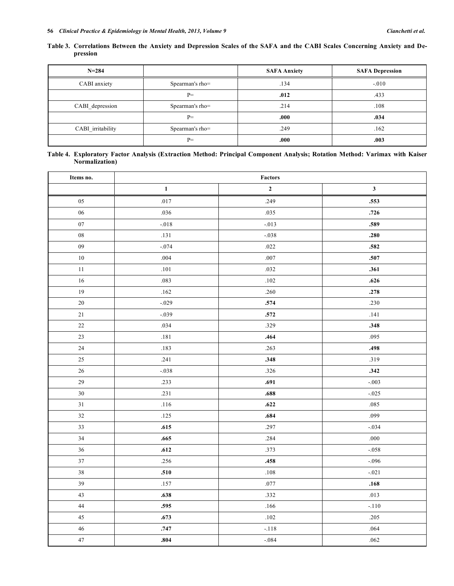|          |  |  |  | Table 3. Correlations Between the Anxiety and Depression Scales of the SAFA and the CABI Scales Concerning Anxiety and De- |  |
|----------|--|--|--|----------------------------------------------------------------------------------------------------------------------------|--|
| pression |  |  |  |                                                                                                                            |  |

| $N = 284$         |                 | <b>SAFA Anxiety</b> | <b>SAFA Depression</b> |  |
|-------------------|-----------------|---------------------|------------------------|--|
| CABI anxiety      | Spearman's rho= | .134                | $-.010$                |  |
|                   | $P=$            | .012                | .433                   |  |
| CABI depression   | Spearman's rho= | .214                | .108                   |  |
|                   | $P=$            | .000                | .034                   |  |
| CABI_irritability | Spearman's rho= | .249                | .162                   |  |
|                   | $P=$            | .000                | .003                   |  |

| Table 4. Exploratory Factor Analysis (Extraction Method: Principal Component Analysis; Rotation Method: Varimax with Kaiser |  |  |  |  |  |  |
|-----------------------------------------------------------------------------------------------------------------------------|--|--|--|--|--|--|
| <b>Normalization</b> )                                                                                                      |  |  |  |  |  |  |

| Items no.   | Factors      |             |              |  |  |  |
|-------------|--------------|-------------|--------------|--|--|--|
|             | $\mathbf{1}$ | $\mathbf 2$ | $\mathbf{3}$ |  |  |  |
| 05          | .017         | .249        | .553         |  |  |  |
| $06\,$      | .036         | .035        | .726         |  |  |  |
| 07          | $-0.018$     | $-.013$     | .589         |  |  |  |
| ${\bf 08}$  | .131         | $-.038$     | .280         |  |  |  |
| 09          | $-.074$      | .022        | .582         |  |  |  |
| $10\,$      | .004         | $.007\,$    | .507         |  |  |  |
| $11\,$      | $.101\,$     | .032        | .361         |  |  |  |
| 16          | .083         | .102        | .626         |  |  |  |
| 19          | $.162$       | .260        | .278         |  |  |  |
| $20\,$      | $-.029$      | .574        | .230         |  |  |  |
| $21\,$      | $-.039$      | .572        | .141         |  |  |  |
| $22\,$      | .034         | .329        | .348         |  |  |  |
| $23\,$      | .181         | .464        | .095         |  |  |  |
| $24\,$      | .183         | .263        | .498         |  |  |  |
| $25\,$      | .241         | .348        | .319         |  |  |  |
| 26          | $-.038$      | .326        | .342         |  |  |  |
| 29          | .233         | .691        | $-.003$      |  |  |  |
| $30\,$      | .231         | .688        | $-.025$      |  |  |  |
| $3\sqrt{1}$ | $.116$       | .622        | .085         |  |  |  |
| 32          | .125         | .684        | .099         |  |  |  |
| 33          | .615         | .297        | $-0.034$     |  |  |  |
| 34          | .665         | .284        | .000         |  |  |  |
| $36\,$      | .612         | .373        | $-.058$      |  |  |  |
| $37\,$      | .256         | .458        | $-.096$      |  |  |  |
| $3\,8$      | .510         | $.108\,$    | $-.021$      |  |  |  |
| 39          | .157         | .077        | .168         |  |  |  |
| $43\,$      | .638         | .332        | .013         |  |  |  |
| $44\,$      | .595         | .166        | $-.110$      |  |  |  |
| $45\,$      | .673         | $.102\,$    | .205         |  |  |  |
| $46\,$      | .747         | $-.118$     | .064         |  |  |  |
| $47\,$      | .804         | $-.084$     | .062         |  |  |  |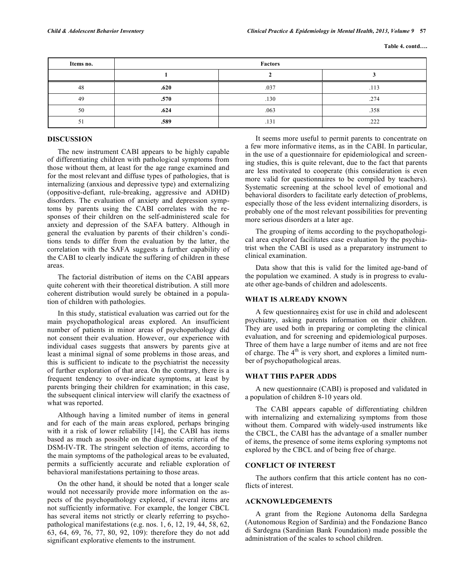| Items no. | Factors |      |      |  |  |  |  |
|-----------|---------|------|------|--|--|--|--|
|           |         |      |      |  |  |  |  |
| 48        | .620    | .037 | .113 |  |  |  |  |
| 49        | .570    | .130 | .274 |  |  |  |  |
| 50        | .624    | .063 | .358 |  |  |  |  |
| 51        | .589    | .131 | .222 |  |  |  |  |

# **DISCUSSION**

The new instrument CABI appears to be highly capable of differentiating children with pathological symptoms from those without them, at least for the age range examined and for the most relevant and diffuse types of pathologies, that is internalizing (anxious and depressive type) and externalizing (oppositive-defiant, rule-breaking, aggressive and ADHD) disorders. The evaluation of anxiety and depression symptoms by parents using the CABI correlates with the responses of their children on the self-administered scale for anxiety and depression of the SAFA battery. Although in general the evaluation by parents of their children's conditions tends to differ from the evaluation by the latter, the correlation with the SAFA suggests a further capability of the CABI to clearly indicate the suffering of children in these areas.

The factorial distribution of items on the CABI appears quite coherent with their theoretical distribution. A still more coherent distribution would surely be obtained in a population of children with pathologies.

In this study, statistical evaluation was carried out for the main psychopathological areas explored. An insufficient number of patients in minor areas of psychopathology did not consent their evaluation. However, our experience with individual cases suggests that answers by parents give at least a minimal signal of some problems in those areas, and this is sufficient to indicate to the psychiatrist the necessity of further exploration of that area. On the contrary, there is a frequent tendency to over-indicate symptoms, at least by parents bringing their children for examination; in this case, the subsequent clinical interview will clarify the exactness of what was reported.

Although having a limited number of items in general and for each of the main areas explored, perhaps bringing with it a risk of lower reliability [14], the CABI has items based as much as possible on the diagnostic criteria of the DSM-IV-TR. The stringent selection of items, according to the main symptoms of the pathological areas to be evaluated, permits a sufficiently accurate and reliable exploration of behavioral manifestations pertaining to those areas.

On the other hand, it should be noted that a longer scale would not necessarily provide more information on the aspects of the psychopathology explored, if several items are not sufficiently informative. For example, the longer CBCL has several items not strictly or clearly referring to psychopathological manifestations (e.g. nos. 1, 6, 12, 19, 44, 58, 62, 63, 64, 69, 76, 77, 80, 92, 109): therefore they do not add significant explorative elements to the instrument.

It seems more useful to permit parents to concentrate on a few more informative items, as in the CABI. In particular, in the use of a questionnaire for epidemiological and screening studies, this is quite relevant, due to the fact that parents are less motivated to cooperate (this consideration is even more valid for questionnaires to be compiled by teachers). Systematic screening at the school level of emotional and behavioral disorders to facilitate early detection of problems, especially those of the less evident internalizing disorders, is probably one of the most relevant possibilities for preventing more serious disorders at a later age.

The grouping of items according to the psychopathological area explored facilitates case evaluation by the psychiatrist when the CABI is used as a preparatory instrument to clinical examination.

Data show that this is valid for the limited age-band of the population we examined. A study is in progress to evaluate other age-bands of children and adolescents.

#### **WHAT IS ALREADY KNOWN**

A few questionnaires exist for use in child and adolescent psychiatry, asking parents information on their children. They are used both in preparing or completing the clinical evaluation, and for screening and epidemiological purposes. Three of them have a large number of items and are not free of charge. The  $4<sup>th</sup>$  is very short, and explores a limited number of psychopathological areas.

#### **WHAT THIS PAPER ADDS**

A new questionnaire (CABI) is proposed and validated in a population of children 8-10 years old.

The CABI appears capable of differentiating children with internalizing and externalizing symptoms from those without them. Compared with widely-used instruments like the CBCL, the CABI has the advantage of a smaller number of items, the presence of some items exploring symptoms not explored by the CBCL and of being free of charge.

# **CONFLICT OF INTEREST**

The authors confirm that this article content has no conflicts of interest.

# **ACKNOWLEDGEMENTS**

A grant from the Regione Autonoma della Sardegna (Autonomous Region of Sardinia) and the Fondazione Banco di Sardegna (Sardinian Bank Foundation) made possible the administration of the scales to school children.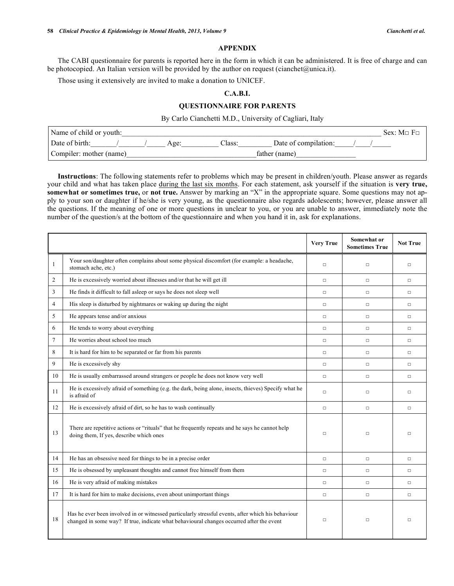#### **APPENDIX**

The CABI questionnaire for parents is reported here in the form in which it can be administered. It is free of charge and can be photocopied. An Italian version will be provided by the author on request (cianchet@unica.it).

Those using it extensively are invited to make a donation to UNICEF.

# **C.A.B.I.**

# **QUESTIONNAIRE FOR PARENTS**

By Carlo Cianchetti M.D., University of Cagliari, Italy

| Name of child or youth: |      |       |                      | $Sex$ $M\Box F\Box$ |
|-------------------------|------|-------|----------------------|---------------------|
| Date of birth:          | Age: | ∠lass | Date of compilation: |                     |
| Compiler: mother (name) |      |       | father (name)        |                     |

**Instructions**: The following statements refer to problems which may be present in children/youth. Please answer as regards your child and what has taken place during the last six months. For each statement, ask yourself if the situation is **very true, somewhat or sometimes true, or not true.** Answer by marking an "X" in the appropriate square. Some questions may not apply to your son or daughter if he/she is very young, as the questionnaire also regards adolescents; however, please answer all the questions. If the meaning of one or more questions in unclear to you, or you are unable to answer, immediately note the number of the question/s at the bottom of the questionnaire and when you hand it in, ask for explanations.

|                |                                                                                                                                                                                                | <b>Very True</b> | Somewhat or<br><b>Sometimes True</b> | <b>Not True</b> |
|----------------|------------------------------------------------------------------------------------------------------------------------------------------------------------------------------------------------|------------------|--------------------------------------|-----------------|
| 1              | Your son/daughter often complains about some physical discomfort (for example: a headache,<br>stomach ache, etc.)                                                                              | $\Box$           | $\Box$                               | $\Box$          |
| $\overline{2}$ | He is excessively worried about illnesses and/or that he will get ill                                                                                                                          | $\Box$           | $\Box$                               | $\Box$          |
| 3              | He finds it difficult to fall asleep or says he does not sleep well                                                                                                                            | $\Box$           | $\Box$                               | $\Box$          |
| 4              | His sleep is disturbed by nightmares or waking up during the night                                                                                                                             | $\Box$           | $\Box$                               | $\Box$          |
| 5              | He appears tense and/or anxious                                                                                                                                                                | $\Box$           | $\Box$                               | $\Box$          |
| 6              | He tends to worry about everything                                                                                                                                                             | $\Box$           | $\Box$                               | $\Box$          |
| $\overline{7}$ | He worries about school too much                                                                                                                                                               | $\Box$           | $\Box$                               | $\Box$          |
| 8              | It is hard for him to be separated or far from his parents                                                                                                                                     | $\Box$           | $\Box$                               | $\Box$          |
| 9              | He is excessively shy                                                                                                                                                                          | $\Box$           | $\Box$                               | $\Box$          |
| 10             | He is usually embarrassed around strangers or people he does not know very well                                                                                                                | $\Box$           | $\Box$                               | $\Box$          |
| 11             | He is excessively afraid of something (e.g. the dark, being alone, insects, thieves) Specify what he<br>is afraid of                                                                           | $\Box$           | $\Box$                               | $\Box$          |
| 12             | He is excessively afraid of dirt, so he has to wash continually                                                                                                                                | $\Box$           | $\Box$                               | $\Box$          |
| 13             | There are repetitive actions or "rituals" that he frequently repeats and he says he cannot help<br>doing them, If yes, describe which ones                                                     | $\Box$           | $\Box$                               | $\Box$          |
| 14             | He has an obsessive need for things to be in a precise order                                                                                                                                   | $\Box$           | $\Box$                               | $\Box$          |
| 15             | He is obsessed by unpleasant thoughts and cannot free himself from them                                                                                                                        | $\Box$           | $\Box$                               | $\Box$          |
| 16             | He is very afraid of making mistakes                                                                                                                                                           | $\Box$           | $\Box$                               | $\Box$          |
| 17             | It is hard for him to make decisions, even about unimportant things                                                                                                                            | $\Box$           | $\Box$                               | $\Box$          |
| 18             | Has he ever been involved in or witnessed particularly stressful events, after which his behaviour<br>changed in some way? If true, indicate what behavioural changes occurred after the event | $\Box$           | $\Box$                               | $\Box$          |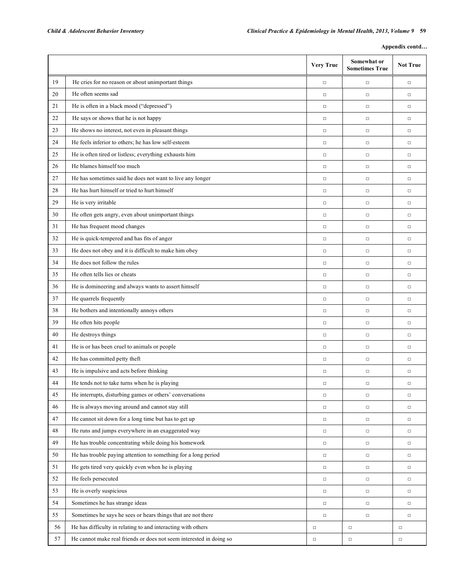| Appendix contd |  |
|----------------|--|
|----------------|--|

|    |                                                                     | <b>Very True</b> | Somewhat or<br><b>Sometimes True</b> | <b>Not True</b> |
|----|---------------------------------------------------------------------|------------------|--------------------------------------|-----------------|
| 19 | He cries for no reason or about unimportant things                  | $\Box$           | $\Box$                               | $\Box$          |
| 20 | He often seems sad                                                  | $\Box$           | $\Box$                               | $\Box$          |
| 21 | He is often in a black mood ("depressed")                           | $\Box$           | $\Box$                               | $\Box$          |
| 22 | He says or shows that he is not happy                               | $\Box$           | $\Box$                               | $\Box$          |
| 23 | He shows no interest, not even in pleasant things                   | $\Box$           | $\Box$                               | $\Box$          |
| 24 | He feels inferior to others; he has low self-esteem                 | $\Box$           | $\Box$                               | $\Box$          |
| 25 | He is often tired or listless; everything exhausts him              | $\Box$           | $\Box$                               | $\Box$          |
| 26 | He blames himself too much                                          | $\Box$           | $\Box$                               | $\Box$          |
| 27 | He has sometimes said he does not want to live any longer           | $\Box$           | $\Box$                               | $\Box$          |
| 28 | He has hurt himself or tried to hurt himself                        | $\Box$           | $\Box$                               | $\Box$          |
| 29 | He is very irritable                                                | $\Box$           | $\Box$                               | $\Box$          |
| 30 | He often gets angry, even about unimportant things                  | $\Box$           | $\Box$                               | $\Box$          |
| 31 | He has frequent mood changes                                        | $\Box$           | $\Box$                               | $\Box$          |
| 32 | He is quick-tempered and has fits of anger                          | $\Box$           | $\Box$                               | $\Box$          |
| 33 | He does not obey and it is difficult to make him obey               | $\Box$           | $\Box$                               | $\Box$          |
| 34 | He does not follow the rules                                        | $\Box$           | $\Box$                               | $\Box$          |
| 35 | He often tells lies or cheats                                       | $\Box$           | $\Box$                               | $\Box$          |
| 36 | He is domineering and always wants to assert himself                | $\Box$           | $\Box$                               | $\Box$          |
| 37 | He quarrels frequently                                              | $\Box$           | $\Box$                               | $\Box$          |
| 38 | He bothers and intentionally annoys others                          | $\Box$           | $\Box$                               | $\Box$          |
| 39 | He often hits people                                                | $\Box$           | $\Box$                               | $\Box$          |
| 40 | He destroys things                                                  | $\Box$           | $\Box$                               | $\Box$          |
| 41 | He is or has been cruel to animals or people                        | $\Box$           | $\Box$                               | $\Box$          |
| 42 | He has committed petty theft                                        | $\Box$           | $\Box$                               | $\Box$          |
| 43 | He is impulsive and acts before thinking                            | $\Box$           | $\Box$                               | $\Box$          |
| 44 | He tends not to take turns when he is playing                       | $\Box$           | $\Box$                               | $\Box$          |
| 45 | He interrupts, disturbing games or others' conversations            | $\Box$           | $\Box$                               | $\Box$          |
| 46 | He is always moving around and cannot stay still                    | $\Box$           | $\Box$                               | $\Box$          |
| 47 | He cannot sit down for a long time but has to get up                | $\Box$           | $\Box$                               | $\Box$          |
| 48 | He runs and jumps everywhere in an exaggerated way                  | $\Box$           | $\Box$                               | $\Box$          |
| 49 | He has trouble concentrating while doing his homework               | $\Box$           | $\Box$                               | $\Box$          |
| 50 | He has trouble paying attention to something for a long period      | $\Box$           | $\Box$                               | $\Box$          |
| 51 | He gets tired very quickly even when he is playing                  | $\Box$           | $\Box$                               | $\Box$          |
| 52 | He feels persecuted                                                 | $\Box$           | $\Box$                               | $\Box$          |
| 53 | He is overly suspicious                                             | $\Box$           | $\Box$                               | $\Box$          |
| 54 | Sometimes he has strange ideas                                      | $\Box$           | $\Box$                               | $\Box$          |
| 55 | Sometimes he says he sees or hears things that are not there        | $\Box$           | $\Box$                               | $\Box$          |
| 56 | He has difficulty in relating to and interacting with others        | $\Box$           | $\Box$                               | $\Box$          |
| 57 | He cannot make real friends or does not seem interested in doing so | $\Box$           | $\Box$                               | $\Box$          |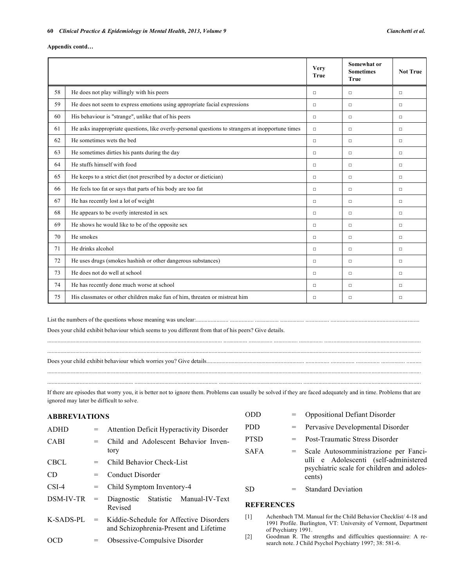#### **Appendix contd…**

|    |                                                                                                   | <b>Very</b><br><b>True</b> | Somewhat or<br><b>Sometimes</b><br><b>True</b> | <b>Not True</b> |
|----|---------------------------------------------------------------------------------------------------|----------------------------|------------------------------------------------|-----------------|
| 58 | He does not play willingly with his peers                                                         | $\Box$                     | $\Box$                                         | $\Box$          |
| 59 | He does not seem to express emotions using appropriate facial expressions                         | $\Box$                     | $\Box$                                         | $\Box$          |
| 60 | His behaviour is "strange", unlike that of his peers                                              | $\Box$                     | $\Box$                                         | $\Box$          |
| 61 | He asks inappropriate questions, like overly-personal questions to strangers at inopportune times | $\Box$                     | $\Box$                                         | $\Box$          |
| 62 | He sometimes wets the bed                                                                         | $\Box$                     | $\Box$                                         | $\Box$          |
| 63 | He sometimes dirties his pants during the day                                                     | $\Box$                     | $\Box$                                         | $\Box$          |
| 64 | He stuffs himself with food                                                                       | $\Box$                     | $\Box$                                         | $\Box$          |
| 65 | He keeps to a strict diet (not prescribed by a doctor or dietician)                               | $\Box$                     | $\Box$                                         | $\Box$          |
| 66 | He feels too fat or says that parts of his body are too fat                                       | $\Box$                     | $\Box$                                         | $\Box$          |
| 67 | He has recently lost a lot of weight                                                              | $\Box$                     | $\Box$                                         | $\Box$          |
| 68 | He appears to be overly interested in sex                                                         | $\Box$                     | $\Box$                                         | $\Box$          |
| 69 | He shows he would like to be of the opposite sex                                                  | $\Box$                     | $\Box$                                         | $\Box$          |
| 70 | He smokes                                                                                         | $\Box$                     | $\Box$                                         | $\Box$          |
| 71 | He drinks alcohol                                                                                 | $\Box$                     | $\Box$                                         | $\Box$          |
| 72 | He uses drugs (smokes hashish or other dangerous substances)                                      | $\Box$                     | $\Box$                                         | $\Box$          |
| 73 | He does not do well at school                                                                     | $\Box$                     | $\Box$                                         | $\Box$          |
| 74 | He has recently done much worse at school                                                         | $\Box$                     | $\Box$                                         | $\Box$          |
| 75 | His classmates or other children make fun of him, threaten or mistreat him                        | $\Box$                     | $\Box$                                         | $\Box$          |

List the numbers of the questions whose meaning was unclear:...................... ................ ................ ................ ................ ............................................................ Does your child exhibit behaviour which seems to you different from that of his peers? Give details.

Does your child exhibit behaviour which worries you? Give details.................................................................. ................ ................ ................ ................ ..........

If there are episodes that worry you, it is better not to ignore them. Problems can usually be solved if they are faced adequately and in time. Problems that are ignored may later be difficult to solve.

............................................................................................................................................................................................................................................................ .......................................................... ........................................................ ........................................................ ...............................................................................

...................................................................................................................... ................ ................ ................ ................ ................................................................. ............................................................................................................................................................................................................................................................

| <b>ABBREVIATIONS</b> |                                     |                                                                                   |                                                                                     |                                                                                                                                                          | <b>Oppositional Defiant Disorder</b>  |  |
|----------------------|-------------------------------------|-----------------------------------------------------------------------------------|-------------------------------------------------------------------------------------|----------------------------------------------------------------------------------------------------------------------------------------------------------|---------------------------------------|--|
| ADHD                 | $\hspace*{0.4em} = \hspace*{0.4em}$ | <b>Attention Deficit Hyperactivity Disorder</b>                                   | PDD.                                                                                | $=$                                                                                                                                                      | Pervasive Developmental Disorder      |  |
| <b>CABI</b>          | $=$                                 | Child and Adolescent Behavior Inven-                                              | <b>PTSD</b>                                                                         | $=$                                                                                                                                                      | <b>Post-Traumatic Stress Disorder</b> |  |
|                      |                                     | tory                                                                              | <b>SAFA</b>                                                                         | $=$                                                                                                                                                      | Scale Autosomministrazione per Fanci- |  |
| CBCL                 | $=$                                 | Child Behavior Check-List                                                         | ulli e Adolescenti (self-administered<br>psychiatric scale for children and adoles- |                                                                                                                                                          |                                       |  |
| CD.                  | $=$                                 | Conduct Disorder                                                                  |                                                                                     |                                                                                                                                                          | cents)                                |  |
| $CSI-4$              | $=$                                 | Child Symptom Inventory-4                                                         | SD                                                                                  | $=$                                                                                                                                                      | <b>Standard Deviation</b>             |  |
| DSM-IV-TR            | $=$                                 | Manual-IV-Text<br><b>Statistic</b><br>Diagnostic<br>Revised                       | <b>REFERENCES</b>                                                                   |                                                                                                                                                          |                                       |  |
| K-SADS-PL            | $=$                                 | Kiddie-Schedule for Affective Disorders<br>and Schizophrenia-Present and Lifetime | $[1]$                                                                               | Achenbach TM. Manual for the Child Behavior Checklist 4-18 and<br>1991 Profile. Burlington, VT: University of Vermont, Department<br>of Psychiatry 1991. |                                       |  |
| <b>OCD</b>           | $=$                                 | Obsessive-Compulsive Disorder                                                     | $\lceil 2 \rceil$                                                                   | Goodman R. The strengths and difficulties questionnaire: A re-<br>search note I Child Devehol Devehiatry 1007-38-581 6                                   |                                       |  |

[2] Goodman R. The strengths and difficulties questionnaire: A research note. J Child Psychol Psychiatry 1997; 38: 581-6.